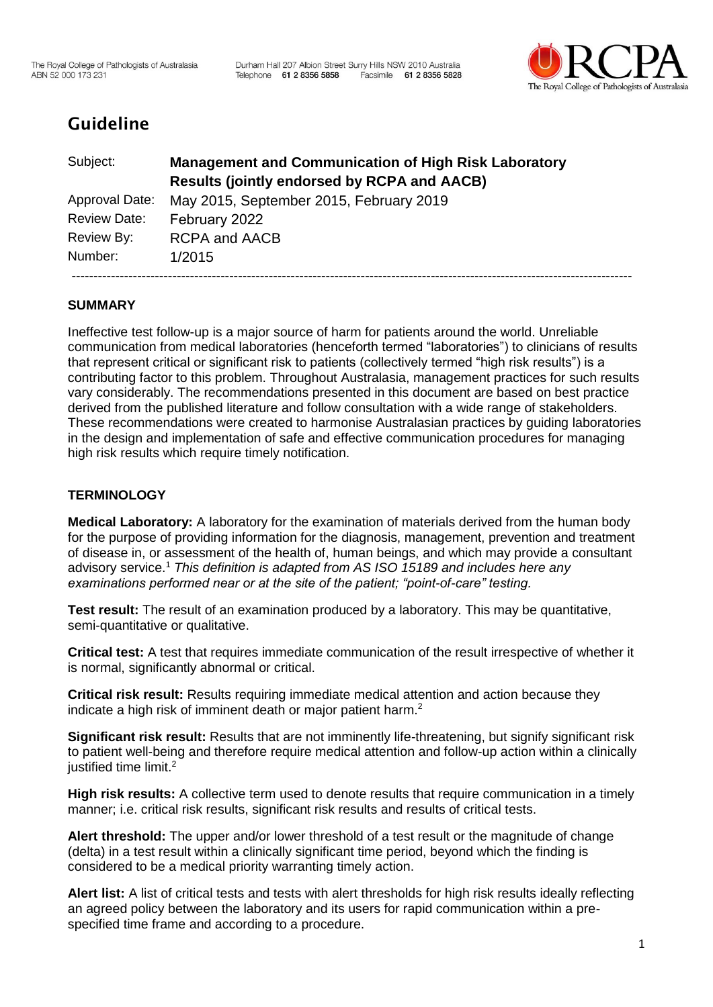

# Guideline

| Subject:            | <b>Management and Communication of High Risk Laboratory</b><br><b>Results (jointly endorsed by RCPA and AACB)</b> |
|---------------------|-------------------------------------------------------------------------------------------------------------------|
| Approval Date:      | May 2015, September 2015, February 2019                                                                           |
| <b>Review Date:</b> | February 2022                                                                                                     |
| Review By:          | <b>RCPA and AACB</b>                                                                                              |
| Number:             | 1/2015                                                                                                            |
|                     |                                                                                                                   |

# **SUMMARY**

Ineffective test follow-up is a major source of harm for patients around the world. Unreliable communication from medical laboratories (henceforth termed "laboratories") to clinicians of results that represent critical or significant risk to patients (collectively termed "high risk results") is a contributing factor to this problem. Throughout Australasia, management practices for such results vary considerably. The recommendations presented in this document are based on best practice derived from the published literature and follow consultation with a wide range of stakeholders. These recommendations were created to harmonise Australasian practices by guiding laboratories in the design and implementation of safe and effective communication procedures for managing high risk results which require timely notification.

# **TERMINOLOGY**

**Medical Laboratory:** A laboratory for the examination of materials derived from the human body for the purpose of providing information for the diagnosis, management, prevention and treatment of disease in, or assessment of the health of, human beings, and which may provide a consultant advisory service[.](#page-9-0)<sup>1</sup> *This definition is adapted from AS ISO 15189 and includes here any examinations performed near or at the site of the patient; "point-of-care" testing.*

**Test result:** The result of an examination produced by a laboratory. This may be quantitative, semi-quantitative or qualitative.

**Critical test:** A test that requires immediate communication of the result irrespective of whether it is normal, significantly abnormal or critical.

**Critical risk result:** Results requiring immediate medical attention and action because they indicate a high risk of imminent death or major patient harm.<sup>[2](#page-9-1)</sup>

**Significant risk result:** Results that are not imminently life-threatening, but signify significant risk to patient well-being and therefore require medical attention and follow-up action within a clinically justified time limit.<sup>[2](#page-9-1)</sup>

**High risk results:** A collective term used to denote results that require communication in a timely manner; i.e. critical risk results, significant risk results and results of critical tests.

**Alert threshold:** The upper and/or lower threshold of a test result or the magnitude of change (delta) in a test result within a clinically significant time period, beyond which the finding is considered to be a medical priority warranting timely action.

**Alert list:** A list of critical tests and tests with alert thresholds for high risk results ideally reflecting an agreed policy between the laboratory and its users for rapid communication within a prespecified time frame and according to a procedure.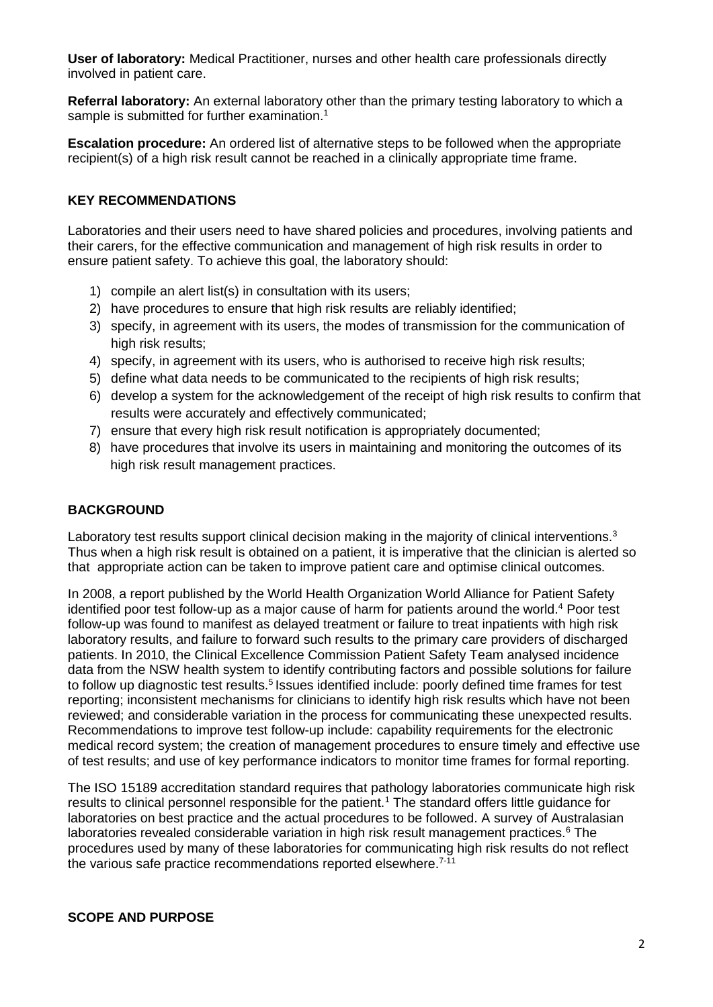**User of laboratory:** Medical Practitioner, nurses and other health care professionals directly involved in patient care.

**Referral laboratory:** An external laboratory other than the primary testing laboratory to which a sample is submitted for further examination.<sup>[1](#page-9-0)</sup>

**Escalation procedure:** An ordered list of alternative steps to be followed when the appropriate recipient(s) of a high risk result cannot be reached in a clinically appropriate time frame.

#### **KEY RECOMMENDATIONS**

Laboratories and their users need to have shared policies and procedures, involving patients and their carers, for the effective communication and management of high risk results in order to ensure patient safety. To achieve this goal, the laboratory should:

- 1) compile an alert list(s) in consultation with its users;
- 2) have procedures to ensure that high risk results are reliably identified;
- 3) specify, in agreement with its users, the modes of transmission for the communication of high risk results;
- 4) specify, in agreement with its users, who is authorised to receive high risk results;
- 5) define what data needs to be communicated to the recipients of high risk results;
- 6) develop a system for the acknowledgement of the receipt of high risk results to confirm that results were accurately and effectively communicated;
- 7) ensure that every high risk result notification is appropriately documented;
- 8) have procedures that involve its users in maintaining and monitoring the outcomes of its high risk result management practices.

#### **BACKGROUND**

Laboratory test results support clinical decision making in the majority of clinical interventions[.](#page-9-2)<sup>3</sup> Thus when a high risk result is obtained on a patient, it is imperative that the clinician is alerted so that appropriate action can be taken to improve patient care and optimise clinical outcomes.

In 2008, a report published by the World Health Organization World Alliance for Patient Safety identified poor test follow-up as a major cause of harm for patients around the world.[4](#page-9-3) Poor test follow-up was found to manifest as delayed treatment or failure to treat inpatients with high risk laboratory results, and failure to forward such results to the primary care providers of discharged patients. In 2010, the Clinical Excellence Commission Patient Safety Team analysed incidence data from the NSW health system to identify contributing factors and possible solutions for failure to follow up diagnostic test results.<sup>[5](#page-9-4)</sup> Issues identified include: poorly defined time frames for test reporting; inconsistent mechanisms for clinicians to identify high risk results which have not been reviewed; and considerable variation in the process for communicating these unexpected results. Recommendations to improve test follow-up include: capability requirements for the electronic medical record system; the creation of management procedures to ensure timely and effective use of test results; and use of key performance indicators to monitor time frames for formal reporting.

The ISO 15189 accreditation standard requires that pathology laboratories communicate high risk results to clinical personnel responsible for the patient.<sup>[1](#page-9-0)</sup> The standard offers little guidance for laboratories on best practice and the actual procedures to be followed. A survey of Australasian laboratories revealed considerable variation in high risk result management practices.<sup>[6](#page-9-5)</sup> The procedures used by many of these laboratories for communicating high risk results do not reflect the various safe practice recommendations reported elsewhere.<sup>[7-11](#page-10-0)</sup>

#### **SCOPE AND PURPOSE**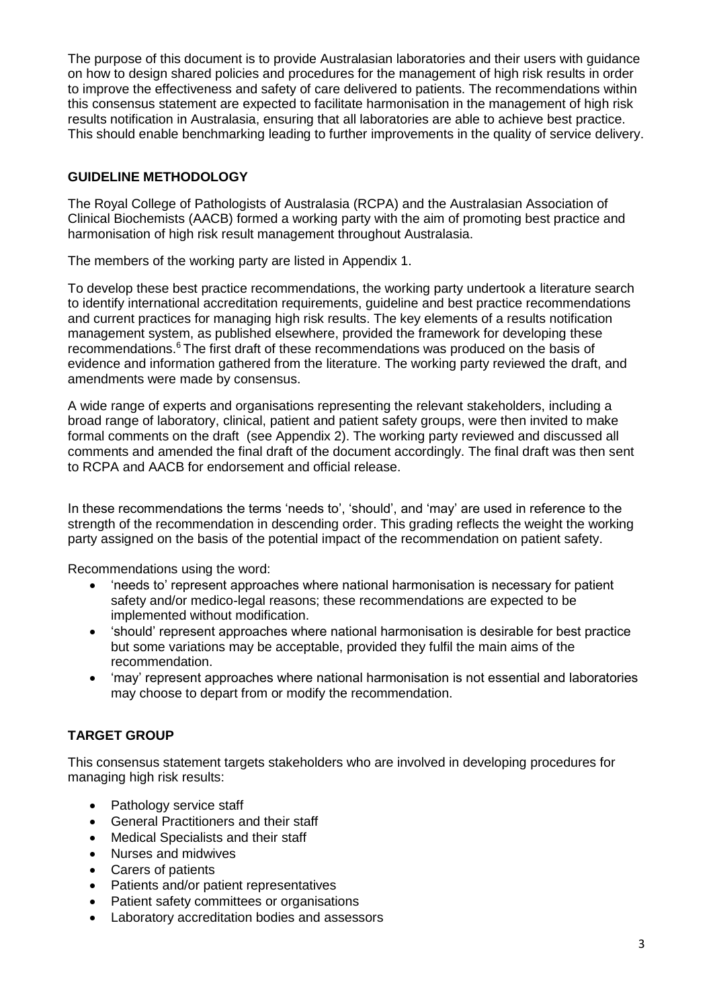The purpose of this document is to provide Australasian laboratories and their users with guidance on how to design shared policies and procedures for the management of high risk results in order to improve the effectiveness and safety of care delivered to patients. The recommendations within this consensus statement are expected to facilitate harmonisation in the management of high risk results notification in Australasia, ensuring that all laboratories are able to achieve best practice. This should enable benchmarking leading to further improvements in the quality of service delivery.

## **GUIDELINE METHODOLOGY**

The Royal College of Pathologists of Australasia (RCPA) and the Australasian Association of Clinical Biochemists (AACB) formed a working party with the aim of promoting best practice and harmonisation of high risk result management throughout Australasia.

The members of the working party are listed in Appendix 1.

To develop these best practice recommendations, the working party undertook a literature search to identify international accreditation requirements, guideline and best practice recommendations and current practices for managing high risk results. The key elements of a results notification management system, as published elsewhere, provided the framework for developing these recommendations.[6](#page-9-5) The first draft of these recommendations was produced on the basis of evidence and information gathered from the literature. The working party reviewed the draft, and amendments were made by consensus.

A wide range of experts and organisations representing the relevant stakeholders, including a broad range of laboratory, clinical, patient and patient safety groups, were then invited to make formal comments on the draft (see Appendix 2). The working party reviewed and discussed all comments and amended the final draft of the document accordingly. The final draft was then sent to RCPA and AACB for endorsement and official release.

In these recommendations the terms 'needs to', 'should', and 'may' are used in reference to the strength of the recommendation in descending order. This grading reflects the weight the working party assigned on the basis of the potential impact of the recommendation on patient safety.

Recommendations using the word:

- 'needs to' represent approaches where national harmonisation is necessary for patient safety and/or medico-legal reasons; these recommendations are expected to be implemented without modification.
- 'should' represent approaches where national harmonisation is desirable for best practice but some variations may be acceptable, provided they fulfil the main aims of the recommendation.
- 'may' represent approaches where national harmonisation is not essential and laboratories may choose to depart from or modify the recommendation.

## **TARGET GROUP**

This consensus statement targets stakeholders who are involved in developing procedures for managing high risk results:

- Pathology service staff
- General Practitioners and their staff
- Medical Specialists and their staff
- Nurses and midwives
- Carers of patients
- Patients and/or patient representatives
- Patient safety committees or organisations
- Laboratory accreditation bodies and assessors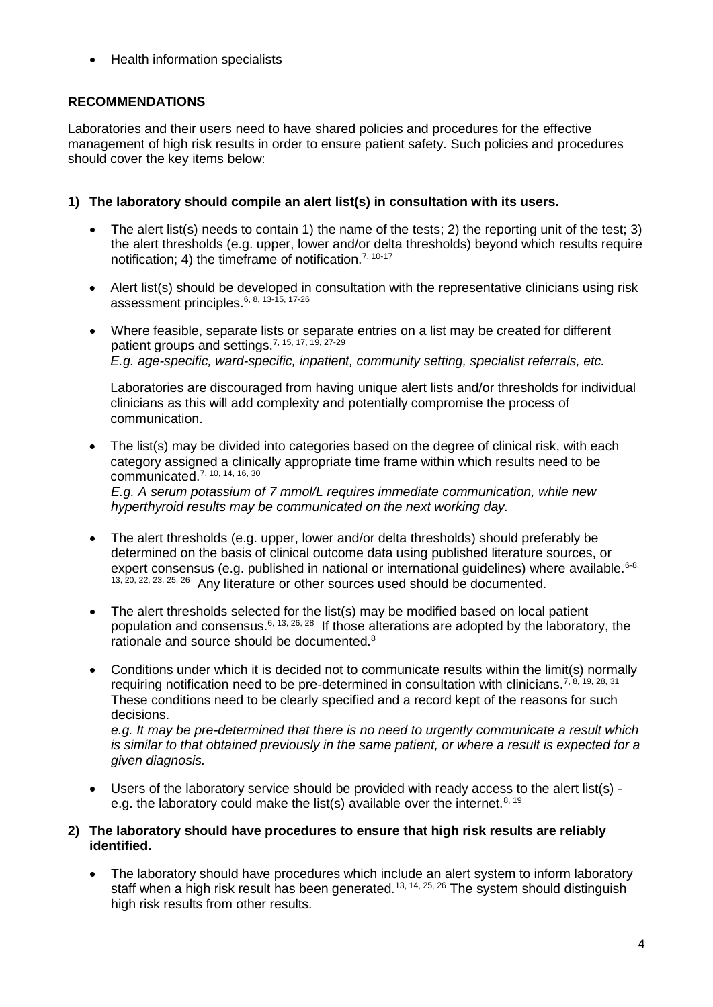• Health information specialists

## **RECOMMENDATIONS**

Laboratories and their users need to have shared policies and procedures for the effective management of high risk results in order to ensure patient safety. Such policies and procedures should cover the key items below:

## **1) The laboratory should compile an alert list(s) in consultation with its users.**

- The alert list(s) needs to contain 1) the name of the tests; 2) the reporting unit of the test; 3) the alert thresholds (e.g. upper, lower and/or delta thresholds) beyond which results require notification; 4) the timeframe of notification.<sup>[7,](#page-10-0) [10-17](#page-10-1)</sup>
- Alert list(s) should be developed in consultation with the representative clinicians using risk assessment principles.[6,](#page-9-5) [8,](#page-10-2) [13-15,](#page-10-3) [17-26](#page-10-4)
- Where feasible, separate lists or separate entries on a list may be created for different patient groups and settings.[7,](#page-10-0) [15,](#page-10-5) [17,](#page-10-4) [19,](#page-10-6) [27-29](#page-11-0) *E.g. age-specific, ward-specific, inpatient, community setting, specialist referrals, etc.*

Laboratories are discouraged from having unique alert lists and/or thresholds for individual clinicians as this will add complexity and potentially compromise the process of communication.

The list(s) may be divided into categories based on the degree of clinical risk, with each category assigned a clinically appropriate time frame within which results need to be communicated.[7,](#page-10-0) [10,](#page-10-1) [14,](#page-10-7) [16,](#page-10-8) [30](#page-11-1) *E.g. A serum potassium of 7 mmol/L requires immediate communication, while new* 

*hyperthyroid results may be communicated on the next working day.*

- The alert thresholds (e.g. upper, lower and/or delta thresholds) should preferably be determined on the basis of clinical outcome data using published literature sources, or expert consensus (e.g. published in national or international guidelines) where available. $6-8$ , [13,](#page-10-3) [20,](#page-10-9) [22,](#page-10-10) [23,](#page-10-11) [25,](#page-10-12) [26](#page-11-2) Any literature or other sources used should be documented.
- The alert thresholds selected for the list(s) may be modified based on local patient population and consensus.<sup>[6,](#page-9-5) [13,](#page-10-3) [26,](#page-11-2) [28](#page-11-3)</sup> If those alterations are adopted by the laboratory, the rationale and source should be documented.[8](#page-10-2)
- Conditions under which it is decided not to communicate results within the limit(s) normally requiring notification need to be pre-determined in consultation with clinicians.<sup>[7,](#page-10-0) [8,](#page-10-2) [19,](#page-10-6) [28,](#page-11-3) [31](#page-11-4)</sup> These conditions need to be clearly specified and a record kept of the reasons for such decisions.

*e.g. It may be pre-determined that there is no need to urgently communicate a result which is similar to that obtained previously in the same patient, or where a result is expected for a given diagnosis.*

• Users of the laboratory service should be provided with ready access to the alert list(s) - e.g. the laboratory could make the list(s) available over the internet.<sup>[8,](#page-10-2) 19</sup>

#### **2) The laboratory should have procedures to ensure that high risk results are reliably identified.**

• The laboratory should have procedures which include an alert system to inform laboratory staff when a high risk result has been generated.<sup>[13,](#page-10-3) [14,](#page-10-7) [25,](#page-10-12) [26](#page-11-2)</sup> The system should distinguish high risk results from other results.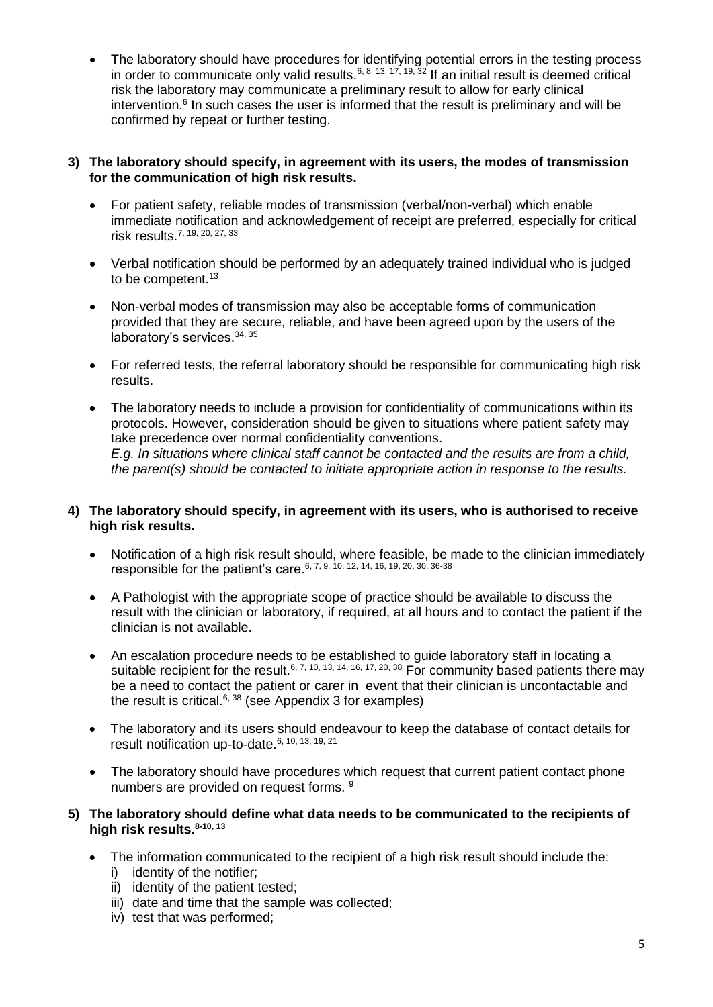• The laboratory should have procedures for identifying potential errors in the testing process in order to communicate only valid results.<sup>[6,](#page-9-5) [8,](#page-10-2) [13,](#page-10-3) [17,](#page-10-4) [19,](#page-10-6) [32](#page-11-5)</sup> If an initial result is deemed critical risk the laboratory may communicate a preliminary result to allow for early clinical intervention[.](#page-9-5)<sup>6</sup> In such cases the user is informed that the result is preliminary and will be confirmed by repeat or further testing.

#### **3) The laboratory should specify, in agreement with its users, the modes of transmission for the communication of high risk results.**

- For patient safety, reliable modes of transmission (verbal/non-verbal) which enable immediate notification and acknowledgement of receipt are preferred, especially for critical risk results.[7,](#page-10-0) [19,](#page-10-6) [20,](#page-10-9) [27,](#page-11-0) [33](#page-11-6)
- Verbal notification should be performed by an adequately trained individual who is judged to be competent.<sup>[13](#page-10-3)</sup>
- Non-verbal modes of transmission may also be acceptable forms of communication provided that they are secure, reliable, and have been agreed upon by the users of the laboratory's services.[34,](#page-11-7) [35](#page-11-8)
- For referred tests, the referral laboratory should be responsible for communicating high risk results.
- The laboratory needs to include a provision for confidentiality of communications within its protocols. However, consideration should be given to situations where patient safety may take precedence over normal confidentiality conventions. *E.g. In situations where clinical staff cannot be contacted and the results are from a child, the parent(s) should be contacted to initiate appropriate action in response to the results.*

#### **4) The laboratory should specify, in agreement with its users, who is authorised to receive high risk results.**

- Notification of a high risk result should, where feasible, be made to the clinician immediately responsible for the patient's care.[6,](#page-9-5) [7,](#page-10-0) [9,](#page-10-13) [10,](#page-10-1) [12,](#page-10-14) [14,](#page-10-7) [16,](#page-10-8) [19,](#page-10-6) [20,](#page-10-9) [30,](#page-11-1) [36-38](#page-11-9)
- A Pathologist with the appropriate scope of practice should be available to discuss the result with the clinician or laboratory, if required, at all hours and to contact the patient if the clinician is not available.
- An escalation procedure needs to be established to guide laboratory staff in locating a suitable recipient for the result.<sup>[6,](#page-9-5) [7,](#page-10-0) [10,](#page-10-1) [13,](#page-10-3) [14,](#page-10-7) [16,](#page-10-8) [17,](#page-10-4) [20,](#page-10-9) [38](#page-11-10)</sup> For community based patients there may be a need to contact the patient or carer in event that their clinician is uncontactable and the result is critical.<sup>[6,](#page-9-5) [38](#page-11-10)</sup> (see Appendix 3 for examples)
- The laboratory and its users should endeavour to keep the database of contact details for result notification up-to-date.<sup>[6,](#page-9-5) [10,](#page-10-1) [13,](#page-10-3) [19,](#page-10-6) [21](#page-10-15)</sup>
- The laboratory should have procedures which request that current patient contact phone numbers are provided on request forms. <sup>[9](#page-10-13)</sup>

#### **5) The laboratory should define what data needs to be communicated to the recipients of high risk results.[8-10,](#page-10-2) [13](#page-10-3)**

- The information communicated to the recipient of a high risk result should include the:
	- i) identity of the notifier;
	- ii) identity of the patient tested;
	- iii) date and time that the sample was collected;
	- iv) test that was performed;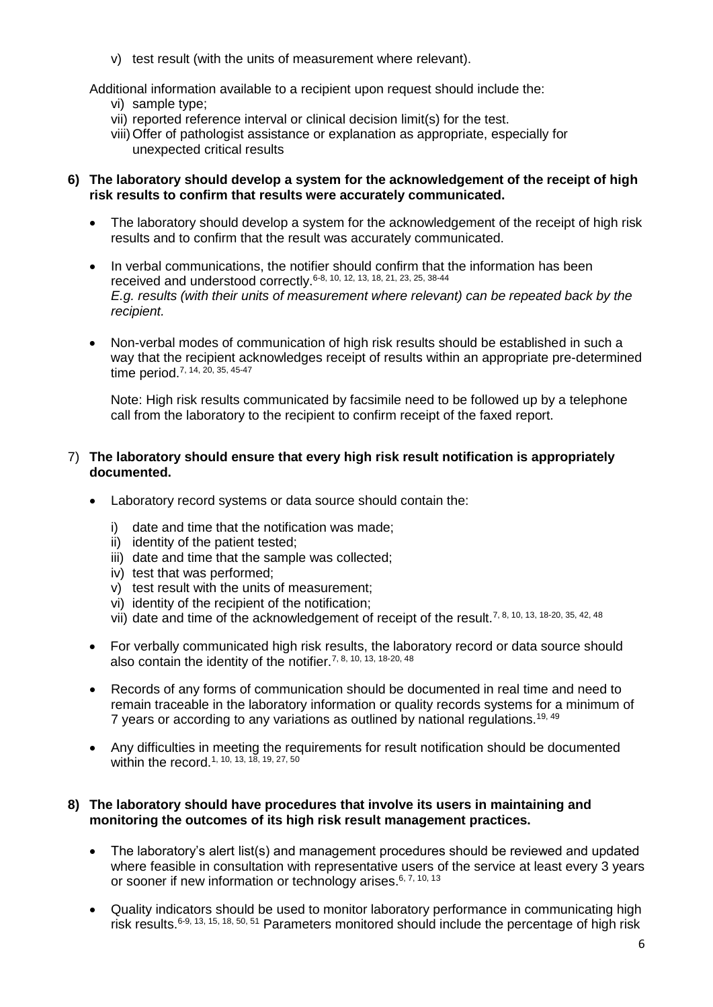v) test result (with the units of measurement where relevant).

Additional information available to a recipient upon request should include the:

- vi) sample type;
- vii) reported reference interval or clinical decision limit(s) for the test.
- viii)Offer of pathologist assistance or explanation as appropriate, especially for unexpected critical results

#### **6) The laboratory should develop a system for the acknowledgement of the receipt of high risk results to confirm that results were accurately communicated.**

- The laboratory should develop a system for the acknowledgement of the receipt of high risk results and to confirm that the result was accurately communicated.
- In verbal communications, the notifier should confirm that the information has been received and understood correctly.[6-8,](#page-9-5) [10,](#page-10-1) [12,](#page-10-14) [13,](#page-10-3) [18,](#page-10-16) [21,](#page-10-15) [23,](#page-10-11) [25,](#page-10-12) [38-44](#page-11-10) *E.g. results (with their units of measurement where relevant) can be repeated back by the recipient.*
- Non-verbal modes of communication of high risk results should be established in such a way that the recipient acknowledges receipt of results within an appropriate pre-determined time period.<sup>[7,](#page-10-0) [14,](#page-10-7) [20,](#page-10-9) [35,](#page-11-8) [45-47](#page-11-11)</sup>

Note: High risk results communicated by facsimile need to be followed up by a telephone call from the laboratory to the recipient to confirm receipt of the faxed report.

## 7) **The laboratory should ensure that every high risk result notification is appropriately documented.**

- Laboratory record systems or data source should contain the:
	- i) date and time that the notification was made;
	- ii) identity of the patient tested;
	- iii) date and time that the sample was collected;
	- iv) test that was performed;
	- v) test result with the units of measurement;
	- vi) identity of the recipient of the notification;
	- vii) date and time of the acknowledgement of receipt of the result.<sup>[7,](#page-10-0) [8,](#page-10-2) [10,](#page-10-1) [13,](#page-10-3) [18-20,](#page-10-16) [35,](#page-11-8) [42,](#page-11-12) [48](#page-12-0)</sup>
- For verbally communicated high risk results, the laboratory record or data source should also contain the identity of the notifier.[7,](#page-10-0) [8,](#page-10-2) [10,](#page-10-1) [13,](#page-10-3) [18-20,](#page-10-16) [48](#page-12-0)
- Records of any forms of communication should be documented in real time and need to remain traceable in the laboratory information or quality records systems for a minimum of 7 years or according to any variations as outlined by national regulations.<sup>[19,](#page-10-6) [49](#page-12-1)</sup>
- Any difficulties in meeting the requirements for result notification should be documented within the record.<sup>[1,](#page-9-0) [10,](#page-10-1)</sup> <sup>13,</sup> <sup>18,</sup> <sup>19,</sup> <sup>27</sup>, <sup>50</sup>

## **8) The laboratory should have procedures that involve its users in maintaining and monitoring the outcomes of its high risk result management practices.**

- The laboratory's alert list(s) and management procedures should be reviewed and updated where feasible in consultation with representative users of the service at least every 3 years or sooner if new information or technology arises.<sup>[6,](#page-9-5) [7,](#page-10-0) [10,](#page-10-1) [13](#page-10-3)</sup>
- Quality indicators should be used to monitor laboratory performance in communicating high risk results.[6-9,](#page-9-5) [13,](#page-10-3) [15,](#page-10-5) [18,](#page-10-16) [50,](#page-12-2) [51](#page-12-3) Parameters monitored should include the percentage of high risk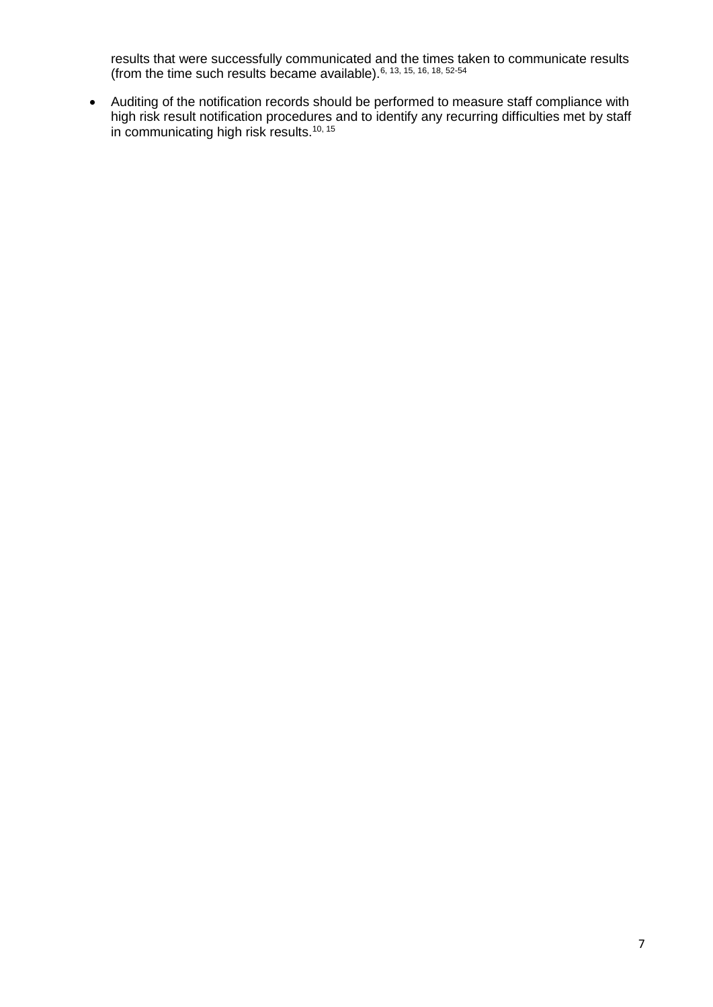results that were successfully communicated and the times taken to communicate results (from the time such results became available).  $6, 13, 15, 16, 18, 52.54$  $6, 13, 15, 16, 18, 52.54$  $6, 13, 15, 16, 18, 52.54$  $6, 13, 15, 16, 18, 52.54$  $6, 13, 15, 16, 18, 52.54$  $6, 13, 15, 16, 18, 52.54$ 

• Auditing of the notification records should be performed to measure staff compliance with high risk result notification procedures and to identify any recurring difficulties met by staff in communicating high risk results.<sup>[10,](#page-10-1) [15](#page-10-5)</sup>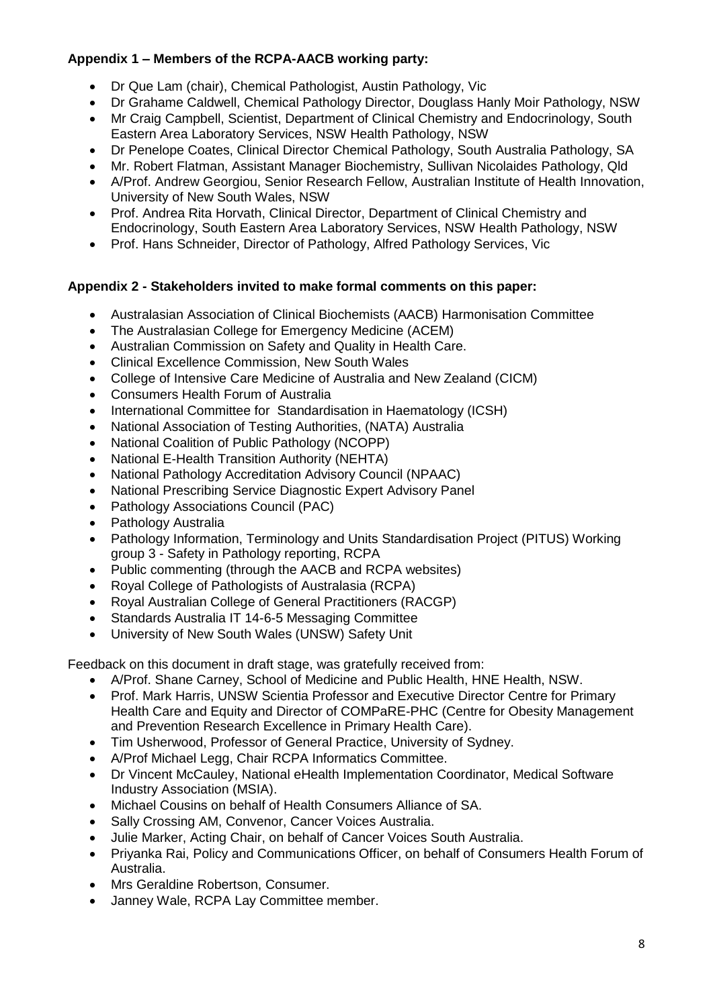# **Appendix 1 – Members of the RCPA-AACB working party:**

- Dr Que Lam (chair), Chemical Pathologist, Austin Pathology, Vic
- Dr Grahame Caldwell, Chemical Pathology Director, Douglass Hanly Moir Pathology, NSW
- Mr Craig Campbell, Scientist, Department of Clinical Chemistry and Endocrinology, South Eastern Area Laboratory Services, NSW Health Pathology, NSW
- Dr Penelope Coates, Clinical Director Chemical Pathology, South Australia Pathology, SA
- Mr. Robert Flatman, Assistant Manager Biochemistry, Sullivan Nicolaides Pathology, Qld
- A/Prof. Andrew Georgiou, Senior Research Fellow, Australian Institute of Health Innovation, University of New South Wales, NSW
- Prof. Andrea Rita Horvath, Clinical Director, Department of Clinical Chemistry and Endocrinology, South Eastern Area Laboratory Services, NSW Health Pathology, NSW
- Prof. Hans Schneider, Director of Pathology, Alfred Pathology Services, Vic

# **Appendix 2 - Stakeholders invited to make formal comments on this paper:**

- Australasian Association of Clinical Biochemists (AACB) Harmonisation Committee
- The Australasian College for Emergency Medicine (ACEM)
- Australian Commission on Safety and Quality in Health Care.
- Clinical Excellence Commission, New South Wales
- College of Intensive Care Medicine of Australia and New Zealand (CICM)
- Consumers Health Forum of Australia
- International Committee for Standardisation in Haematology (ICSH)
- National Association of Testing Authorities, (NATA) Australia
- National Coalition of Public Pathology (NCOPP)
- National E-Health Transition Authority (NEHTA)
- National Pathology Accreditation Advisory Council (NPAAC)
- National Prescribing Service Diagnostic Expert Advisory Panel
- Pathology Associations Council (PAC)
- Pathology Australia
- Pathology Information, Terminology and Units Standardisation Project (PITUS) Working group 3 - Safety in Pathology reporting, RCPA
- Public commenting (through the AACB and RCPA websites)
- Royal College of Pathologists of Australasia (RCPA)
- Royal Australian College of General Practitioners (RACGP)
- Standards Australia IT 14-6-5 Messaging Committee
- University of New South Wales (UNSW) Safety Unit

Feedback on this document in draft stage, was gratefully received from:

- A/Prof. Shane Carney, School of Medicine and Public Health, HNE Health, NSW.
- Prof. Mark Harris, UNSW Scientia Professor and Executive Director Centre for Primary Health Care and Equity and Director of COMPaRE-PHC (Centre for Obesity Management and Prevention Research Excellence in Primary Health Care).
- Tim Usherwood, Professor of General Practice, University of Sydney.
- A/Prof Michael Legg, Chair RCPA Informatics Committee.
- Dr Vincent McCauley, National eHealth Implementation Coordinator, Medical Software Industry Association (MSIA).
- Michael Cousins on behalf of Health Consumers Alliance of SA.
- Sally Crossing AM, Convenor, Cancer Voices Australia.
- Julie Marker, Acting Chair, on behalf of Cancer Voices South Australia.
- Priyanka Rai, Policy and Communications Officer, on behalf of Consumers Health Forum of Australia.
- Mrs Geraldine Robertson, Consumer.
- Janney Wale, RCPA Lay Committee member.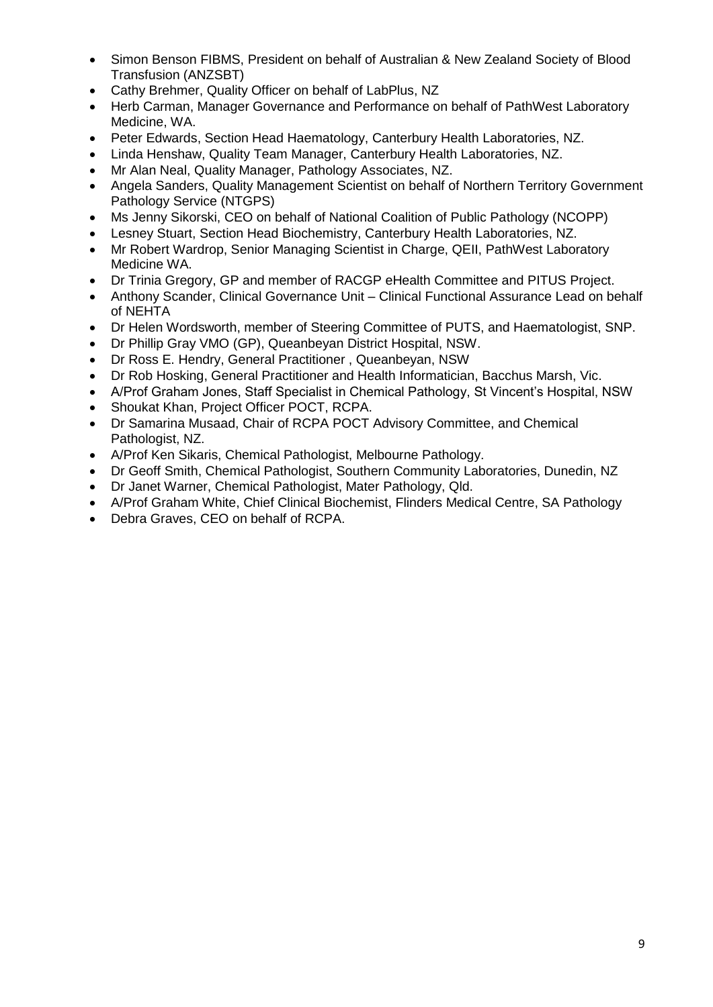- Simon Benson FIBMS, President on behalf of Australian & New Zealand Society of Blood Transfusion (ANZSBT)
- Cathy Brehmer, Quality Officer on behalf of LabPlus, NZ
- Herb Carman, Manager Governance and Performance on behalf of PathWest Laboratory Medicine, WA.
- Peter Edwards, Section Head Haematology, Canterbury Health Laboratories, NZ.
- Linda Henshaw, Quality Team Manager, Canterbury Health Laboratories, NZ.
- Mr Alan Neal, Quality Manager, Pathology Associates, NZ.
- Angela Sanders, Quality Management Scientist on behalf of Northern Territory Government Pathology Service (NTGPS)
- Ms Jenny Sikorski, CEO on behalf of National Coalition of Public Pathology (NCOPP)
- Lesney Stuart, Section Head Biochemistry, Canterbury Health Laboratories, NZ.
- Mr Robert Wardrop, Senior Managing Scientist in Charge, QEII, PathWest Laboratory Medicine WA.
- Dr Trinia Gregory, GP and member of RACGP eHealth Committee and PITUS Project.
- Anthony Scander, Clinical Governance Unit Clinical Functional Assurance Lead on behalf of NEHTA
- Dr Helen Wordsworth, member of Steering Committee of PUTS, and Haematologist, SNP.
- Dr Phillip Gray VMO (GP), Queanbeyan District Hospital, NSW.
- Dr Ross E. Hendry, General Practitioner , Queanbeyan, NSW
- Dr Rob Hosking, General Practitioner and Health Informatician, Bacchus Marsh, Vic.
- A/Prof Graham Jones, Staff Specialist in Chemical Pathology, St Vincent's Hospital, NSW
- Shoukat Khan, Project Officer POCT, RCPA.
- Dr Samarina Musaad, Chair of RCPA POCT Advisory Committee, and Chemical Pathologist, NZ.
- A/Prof Ken Sikaris, Chemical Pathologist, Melbourne Pathology.
- Dr Geoff Smith, Chemical Pathologist, Southern Community Laboratories, Dunedin, NZ
- Dr Janet Warner, Chemical Pathologist, Mater Pathology, Qld.
- A/Prof Graham White, Chief Clinical Biochemist, Flinders Medical Centre, SA Pathology
- Debra Graves, CEO on behalf of RCPA.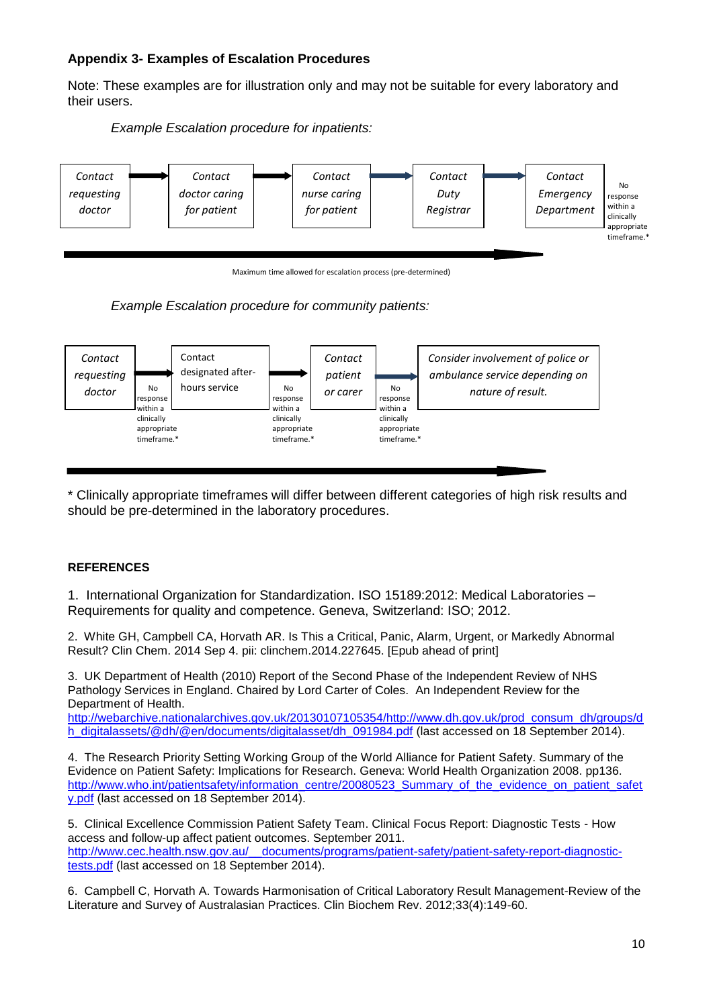## **Appendix 3- Examples of Escalation Procedures**

Note: These examples are for illustration only and may not be suitable for every laboratory and their users.



*Example Escalation procedure for inpatients:* 

Maximum time allowed for escalation process (pre-determined)





\* Clinically appropriate timeframes will differ between different categories of high risk results and should be pre-determined in the laboratory procedures.

#### **REFERENCES**

<span id="page-9-0"></span>1. International Organization for Standardization. ISO 15189:2012: Medical Laboratories – Requirements for quality and competence. Geneva, Switzerland: ISO; 2012.

<span id="page-9-1"></span>2. White GH, Campbell CA, Horvath AR. Is This a Critical, Panic, Alarm, Urgent, or Markedly Abnormal Result? Clin Chem. 2014 Sep 4. pii: clinchem.2014.227645. [Epub ahead of print]

<span id="page-9-2"></span>3. UK Department of Health (2010) Report of the Second Phase of the Independent Review of NHS Pathology Services in England. Chaired by Lord Carter of Coles. An Independent Review for the Department of Health.

[http://webarchive.nationalarchives.gov.uk/20130107105354/http://www.dh.gov.uk/prod\\_consum\\_dh/groups/d](http://webarchive.nationalarchives.gov.uk/20130107105354/http:/www.dh.gov.uk/prod_consum_dh/groups/dh_digitalassets/@dh/@en/documents/digitalasset/dh_091984.pdf) [h\\_digitalassets/@dh/@en/documents/digitalasset/dh\\_091984.pdf](http://webarchive.nationalarchives.gov.uk/20130107105354/http:/www.dh.gov.uk/prod_consum_dh/groups/dh_digitalassets/@dh/@en/documents/digitalasset/dh_091984.pdf) (last accessed on 18 September 2014).

<span id="page-9-3"></span>4. The Research Priority Setting Working Group of the World Alliance for Patient Safety. Summary of the Evidence on Patient Safety: Implications for Research. Geneva: World Health Organization 2008. pp136. [http://www.who.int/patientsafety/information\\_centre/20080523\\_Summary\\_of\\_the\\_evidence\\_on\\_patient\\_safet](http://www.who.int/patientsafety/information_centre/20080523_Summary_of_the_evidence_on_patient_safety.pdf) [y.pdf](http://www.who.int/patientsafety/information_centre/20080523_Summary_of_the_evidence_on_patient_safety.pdf) (last accessed on 18 September 2014).

<span id="page-9-4"></span>5. Clinical Excellence Commission Patient Safety Team. Clinical Focus Report: Diagnostic Tests - How access and follow-up affect patient outcomes. September 2011. [http://www.cec.health.nsw.gov.au/\\_\\_documents/programs/patient-safety/patient-safety-report-diagnostic](http://www.cec.health.nsw.gov.au/__documents/programs/patient-safety/patient-safety-report-diagnostic-tests.pdf)[tests.pdf](http://www.cec.health.nsw.gov.au/__documents/programs/patient-safety/patient-safety-report-diagnostic-tests.pdf) (last accessed on 18 September 2014).

<span id="page-9-5"></span>6. Campbell C, Horvath A. Towards Harmonisation of Critical Laboratory Result Management-Review of the Literature and Survey of Australasian Practices. Clin Biochem Rev. 2012;33(4):149-60.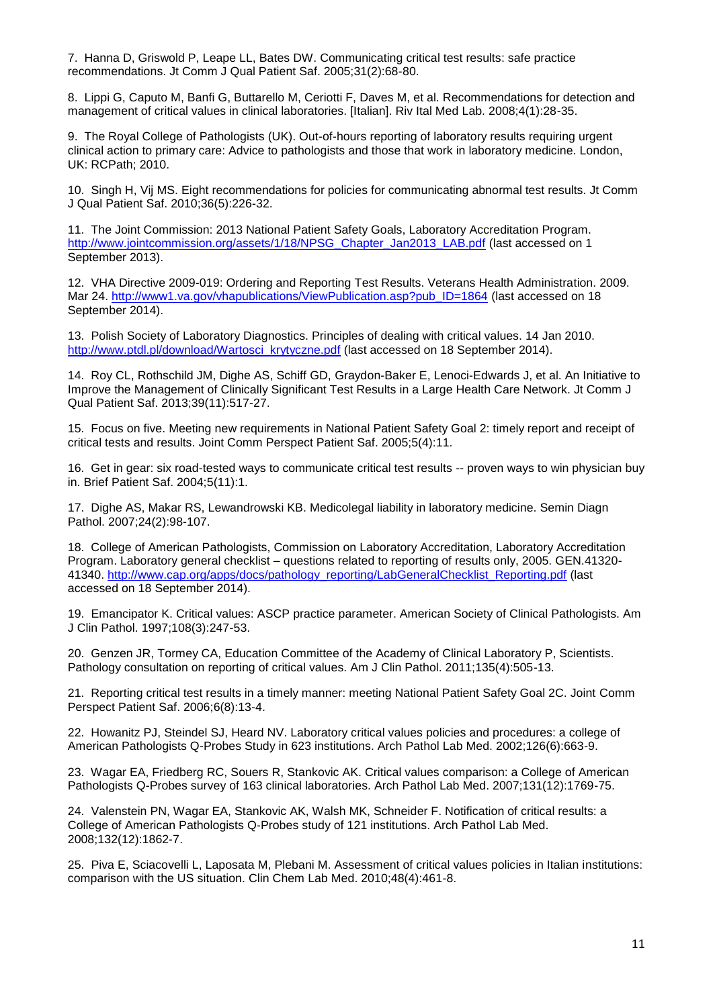<span id="page-10-0"></span>7. Hanna D, Griswold P, Leape LL, Bates DW. Communicating critical test results: safe practice recommendations. Jt Comm J Qual Patient Saf. 2005;31(2):68-80.

<span id="page-10-2"></span>8. Lippi G, Caputo M, Banfi G, Buttarello M, Ceriotti F, Daves M, et al. Recommendations for detection and management of critical values in clinical laboratories. [Italian]. Riv Ital Med Lab. 2008;4(1):28-35.

<span id="page-10-13"></span>9. The Royal College of Pathologists (UK). Out-of-hours reporting of laboratory results requiring urgent clinical action to primary care: Advice to pathologists and those that work in laboratory medicine. London, UK: RCPath; 2010.

<span id="page-10-1"></span>10. Singh H, Vij MS. Eight recommendations for policies for communicating abnormal test results. Jt Comm J Qual Patient Saf. 2010;36(5):226-32.

11. The Joint Commission: 2013 National Patient Safety Goals, Laboratory Accreditation Program. [http://www.jointcommission.org/assets/1/18/NPSG\\_Chapter\\_Jan2013\\_LAB.pdf](http://www.jointcommission.org/assets/1/18/NPSG_Chapter_Jan2013_LAB.pdf) (last accessed on 1 September 2013).

<span id="page-10-14"></span>12. VHA Directive 2009-019: Ordering and Reporting Test Results. Veterans Health Administration. 2009. Mar 24. [http://www1.va.gov/vhapublications/ViewPublication.asp?pub\\_ID=1864](http://www1.va.gov/vhapublications/ViewPublication.asp?pub_ID=1864) (last accessed on 18 September 2014).

<span id="page-10-3"></span>13. Polish Society of Laboratory Diagnostics. Principles of dealing with critical values. 14 Jan 2010. [http://www.ptdl.pl/download/Wartosci\\_krytyczne.pdf](http://www.ptdl.pl/download/Wartosci_krytyczne.pdf) (last accessed on 18 September 2014).

<span id="page-10-7"></span>14. Roy CL, Rothschild JM, Dighe AS, Schiff GD, Graydon-Baker E, Lenoci-Edwards J, et al. An Initiative to Improve the Management of Clinically Significant Test Results in a Large Health Care Network. Jt Comm J Qual Patient Saf. 2013;39(11):517-27.

<span id="page-10-5"></span>15. Focus on five. Meeting new requirements in National Patient Safety Goal 2: timely report and receipt of critical tests and results. Joint Comm Perspect Patient Saf. 2005;5(4):11.

<span id="page-10-8"></span>16. Get in gear: six road-tested ways to communicate critical test results -- proven ways to win physician buy in. Brief Patient Saf. 2004;5(11):1.

<span id="page-10-4"></span>17. Dighe AS, Makar RS, Lewandrowski KB. Medicolegal liability in laboratory medicine. Semin Diagn Pathol. 2007;24(2):98-107.

<span id="page-10-16"></span>18. College of American Pathologists, Commission on Laboratory Accreditation, Laboratory Accreditation Program. Laboratory general checklist – questions related to reporting of results only, 2005. GEN.41320- 41340. [http://www.cap.org/apps/docs/pathology\\_reporting/LabGeneralChecklist\\_Reporting.pdf](http://www.cap.org/apps/docs/pathology_reporting/LabGeneralChecklist_Reporting.pdf) (last accessed on 18 September 2014).

<span id="page-10-6"></span>19. Emancipator K. Critical values: ASCP practice parameter. American Society of Clinical Pathologists. Am J Clin Pathol. 1997;108(3):247-53.

<span id="page-10-9"></span>20. Genzen JR, Tormey CA, Education Committee of the Academy of Clinical Laboratory P, Scientists. Pathology consultation on reporting of critical values. Am J Clin Pathol. 2011;135(4):505-13.

<span id="page-10-15"></span>21. Reporting critical test results in a timely manner: meeting National Patient Safety Goal 2C. Joint Comm Perspect Patient Saf. 2006;6(8):13-4.

<span id="page-10-10"></span>22. Howanitz PJ, Steindel SJ, Heard NV. Laboratory critical values policies and procedures: a college of American Pathologists Q-Probes Study in 623 institutions. Arch Pathol Lab Med. 2002;126(6):663-9.

<span id="page-10-11"></span>23. Wagar EA, Friedberg RC, Souers R, Stankovic AK. Critical values comparison: a College of American Pathologists Q-Probes survey of 163 clinical laboratories. Arch Pathol Lab Med. 2007;131(12):1769-75.

24. Valenstein PN, Wagar EA, Stankovic AK, Walsh MK, Schneider F. Notification of critical results: a College of American Pathologists Q-Probes study of 121 institutions. Arch Pathol Lab Med. 2008;132(12):1862-7.

<span id="page-10-12"></span>25. Piva E, Sciacovelli L, Laposata M, Plebani M. Assessment of critical values policies in Italian institutions: comparison with the US situation. Clin Chem Lab Med. 2010;48(4):461-8.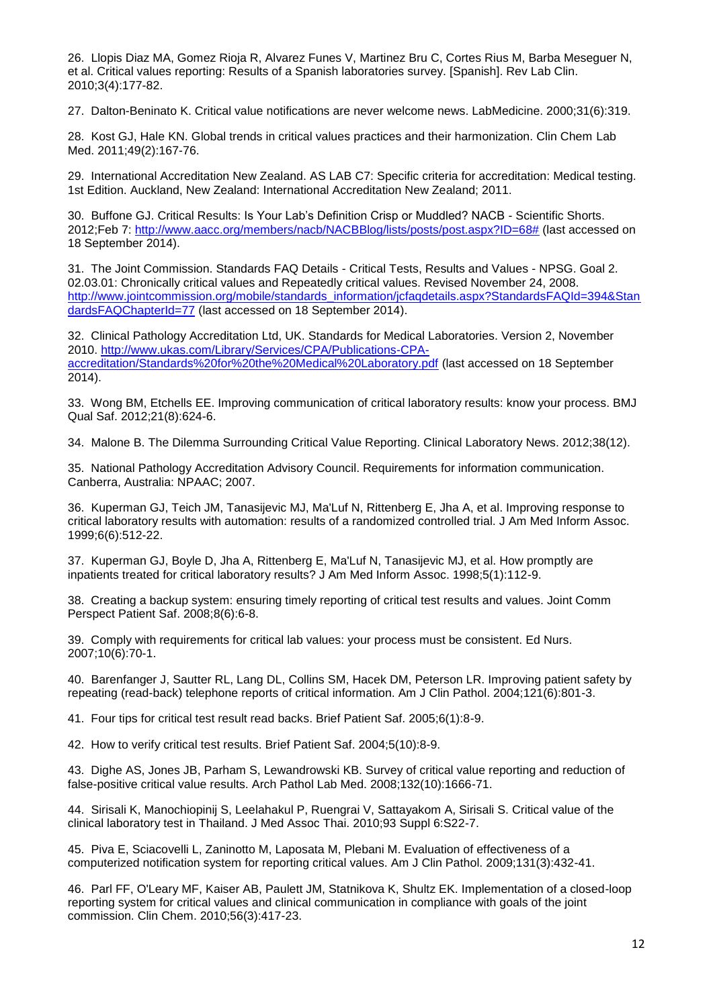<span id="page-11-2"></span>26. Llopis Diaz MA, Gomez Rioja R, Alvarez Funes V, Martinez Bru C, Cortes Rius M, Barba Meseguer N, et al. Critical values reporting: Results of a Spanish laboratories survey. [Spanish]. Rev Lab Clin. 2010;3(4):177-82.

<span id="page-11-0"></span>27. Dalton-Beninato K. Critical value notifications are never welcome news. LabMedicine. 2000;31(6):319.

<span id="page-11-3"></span>28. Kost GJ, Hale KN. Global trends in critical values practices and their harmonization. Clin Chem Lab Med. 2011;49(2):167-76.

29. International Accreditation New Zealand. AS LAB C7: Specific criteria for accreditation: Medical testing. 1st Edition. Auckland, New Zealand: International Accreditation New Zealand; 2011.

<span id="page-11-1"></span>30. Buffone GJ. Critical Results: Is Your Lab's Definition Crisp or Muddled? NACB - Scientific Shorts. 2012;Feb 7: [http://www.aacc.org/members/nacb/NACBBlog/lists/posts/post.aspx?ID=68#](http://www.aacc.org/members/nacb/NACBBlog/lists/posts/post.aspx?ID=68) (last accessed on 18 September 2014).

<span id="page-11-4"></span>31. The Joint Commission. Standards FAQ Details - Critical Tests, Results and Values - NPSG. Goal 2. 02.03.01: Chronically critical values and Repeatedly critical values. Revised November 24, 2008. [http://www.jointcommission.org/mobile/standards\\_information/jcfaqdetails.aspx?StandardsFAQId=394&Stan](http://www.jointcommission.org/mobile/standards_information/jcfaqdetails.aspx?StandardsFAQId=394&StandardsFAQChapterId=77) [dardsFAQChapterId=77](http://www.jointcommission.org/mobile/standards_information/jcfaqdetails.aspx?StandardsFAQId=394&StandardsFAQChapterId=77) (last accessed on 18 September 2014).

<span id="page-11-5"></span>32. Clinical Pathology Accreditation Ltd, UK. Standards for Medical Laboratories. Version 2, November 2010. [http://www.ukas.com/Library/Services/CPA/Publications-CPA](http://www.ukas.com/Library/Services/CPA/Publications-CPA-accreditation/Standards%20for%20the%20Medical%20Laboratory.pdf)[accreditation/Standards%20for%20the%20Medical%20Laboratory.pdf](http://www.ukas.com/Library/Services/CPA/Publications-CPA-accreditation/Standards%20for%20the%20Medical%20Laboratory.pdf) (last accessed on 18 September 2014).

<span id="page-11-6"></span>33. Wong BM, Etchells EE. Improving communication of critical laboratory results: know your process. BMJ Qual Saf. 2012;21(8):624-6.

<span id="page-11-7"></span>34. Malone B. The Dilemma Surrounding Critical Value Reporting. Clinical Laboratory News. 2012;38(12).

<span id="page-11-8"></span>35. National Pathology Accreditation Advisory Council. Requirements for information communication. Canberra, Australia: NPAAC; 2007.

<span id="page-11-9"></span>36. Kuperman GJ, Teich JM, Tanasijevic MJ, Ma'Luf N, Rittenberg E, Jha A, et al. Improving response to critical laboratory results with automation: results of a randomized controlled trial. J Am Med Inform Assoc. 1999;6(6):512-22.

37. Kuperman GJ, Boyle D, Jha A, Rittenberg E, Ma'Luf N, Tanasijevic MJ, et al. How promptly are inpatients treated for critical laboratory results? J Am Med Inform Assoc. 1998;5(1):112-9.

<span id="page-11-10"></span>38. Creating a backup system: ensuring timely reporting of critical test results and values. Joint Comm Perspect Patient Saf. 2008;8(6):6-8.

39. Comply with requirements for critical lab values: your process must be consistent. Ed Nurs. 2007;10(6):70-1.

40. Barenfanger J, Sautter RL, Lang DL, Collins SM, Hacek DM, Peterson LR. Improving patient safety by repeating (read-back) telephone reports of critical information. Am J Clin Pathol. 2004;121(6):801-3.

41. Four tips for critical test result read backs. Brief Patient Saf. 2005;6(1):8-9.

<span id="page-11-12"></span>42. How to verify critical test results. Brief Patient Saf. 2004;5(10):8-9.

43. Dighe AS, Jones JB, Parham S, Lewandrowski KB. Survey of critical value reporting and reduction of false-positive critical value results. Arch Pathol Lab Med. 2008;132(10):1666-71.

44. Sirisali K, Manochiopinij S, Leelahakul P, Ruengrai V, Sattayakom A, Sirisali S. Critical value of the clinical laboratory test in Thailand. J Med Assoc Thai. 2010;93 Suppl 6:S22-7.

<span id="page-11-11"></span>45. Piva E, Sciacovelli L, Zaninotto M, Laposata M, Plebani M. Evaluation of effectiveness of a computerized notification system for reporting critical values. Am J Clin Pathol. 2009;131(3):432-41.

46. Parl FF, O'Leary MF, Kaiser AB, Paulett JM, Statnikova K, Shultz EK. Implementation of a closed-loop reporting system for critical values and clinical communication in compliance with goals of the joint commission. Clin Chem. 2010;56(3):417-23.